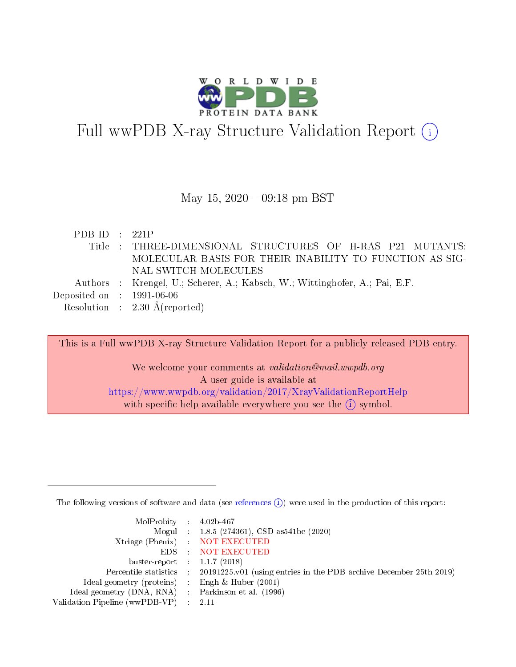

# Full wwPDB X-ray Structure Validation Report  $(i)$

### May 15,  $2020 - 09:18$  pm BST

| PDB ID : $221P$             |                                                                             |
|-----------------------------|-----------------------------------------------------------------------------|
|                             | Title: THREE-DIMENSIONAL STRUCTURES OF H-RAS P21 MUTANTS:                   |
|                             | MOLECULAR BASIS FOR THEIR INABILITY TO FUNCTION AS SIG-                     |
|                             | NAL SWITCH MOLECULES                                                        |
|                             | Authors : Krengel, U.; Scherer, A.; Kabsch, W.; Wittinghofer, A.; Pai, E.F. |
| Deposited on : $1991-06-06$ |                                                                             |
|                             | Resolution : $2.30 \text{ Å}$ (reported)                                    |

This is a Full wwPDB X-ray Structure Validation Report for a publicly released PDB entry. We welcome your comments at validation@mail.wwpdb.org A user guide is available at <https://www.wwpdb.org/validation/2017/XrayValidationReportHelp> with specific help available everywhere you see the  $(i)$  symbol.

The following versions of software and data (see [references](https://www.wwpdb.org/validation/2017/XrayValidationReportHelp#references)  $(i)$ ) were used in the production of this report:

| MolProbity : $4.02b-467$                            |                                                                                            |
|-----------------------------------------------------|--------------------------------------------------------------------------------------------|
|                                                     | Mogul : $1.8.5$ (274361), CSD as 541be (2020)                                              |
|                                                     | Xtriage (Phenix) NOT EXECUTED                                                              |
|                                                     | EDS : NOT EXECUTED                                                                         |
| buster-report : $1.1.7(2018)$                       |                                                                                            |
|                                                     | Percentile statistics : 20191225.v01 (using entries in the PDB archive December 25th 2019) |
| Ideal geometry (proteins) :                         | Engh & Huber $(2001)$                                                                      |
| Ideal geometry (DNA, RNA) : Parkinson et al. (1996) |                                                                                            |
| Validation Pipeline (wwPDB-VP)                      | -2.11                                                                                      |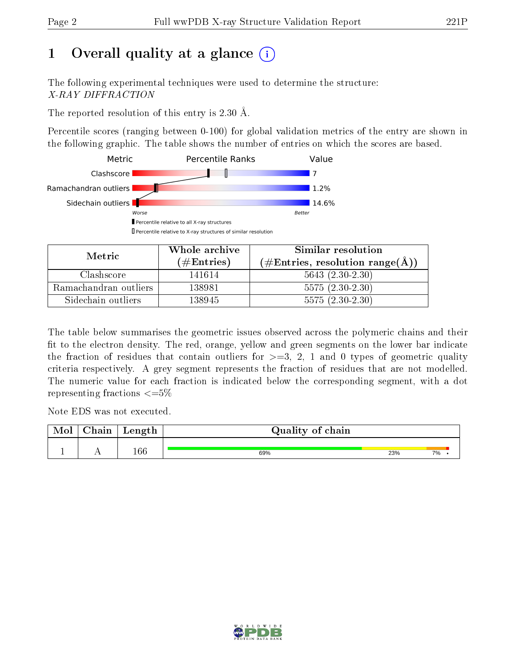# 1 [O](https://www.wwpdb.org/validation/2017/XrayValidationReportHelp#overall_quality)verall quality at a glance  $(i)$

The following experimental techniques were used to determine the structure: X-RAY DIFFRACTION

The reported resolution of this entry is 2.30 Å.

Percentile scores (ranging between 0-100) for global validation metrics of the entry are shown in the following graphic. The table shows the number of entries on which the scores are based.



| Metric                | Whole archive        | Similar resolution                                         |  |  |
|-----------------------|----------------------|------------------------------------------------------------|--|--|
|                       | $(\#\text{Entries})$ | $(\#\text{Entries}, \text{resolution range}(\text{\AA}) )$ |  |  |
| Clashscore            | 141614               | $5643(2.30-2.30)$                                          |  |  |
| Ramachandran outliers | 138981               | $5575(2.30-2.30)$                                          |  |  |
| Sidechain outliers    | 138945               | $5575(2.30-2.30)$                                          |  |  |

The table below summarises the geometric issues observed across the polymeric chains and their fit to the electron density. The red, orange, yellow and green segments on the lower bar indicate the fraction of residues that contain outliers for  $\geq=3$ , 2, 1 and 0 types of geometric quality criteria respectively. A grey segment represents the fraction of residues that are not modelled. The numeric value for each fraction is indicated below the corresponding segment, with a dot representing fractions  $\epsilon = 5\%$ 

Note EDS was not executed.

| $\cap$ hain | Length  | Quality of chain |     |    |  |  |  |  |
|-------------|---------|------------------|-----|----|--|--|--|--|
|             |         |                  |     |    |  |  |  |  |
|             | $166\,$ | 69%              | 23% | 7% |  |  |  |  |

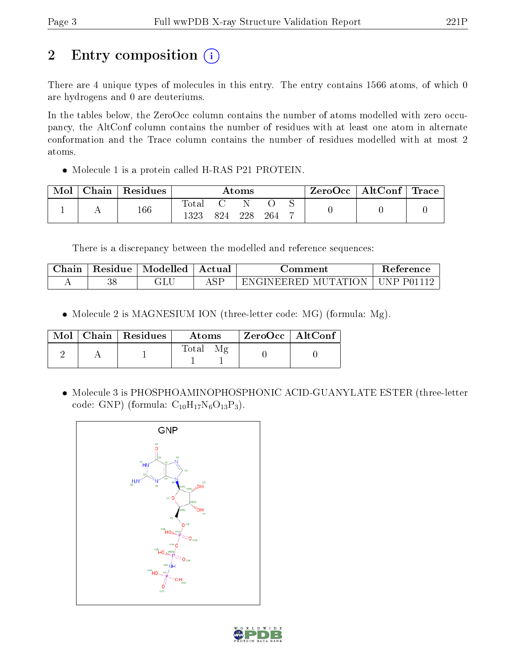# 2 Entry composition (i)

There are 4 unique types of molecules in this entry. The entry contains 1566 atoms, of which 0 are hydrogens and 0 are deuteriums.

In the tables below, the ZeroOcc column contains the number of atoms modelled with zero occupancy, the AltConf column contains the number of residues with at least one atom in alternate conformation and the Trace column contains the number of residues modelled with at most 2 atoms.

• Molecule 1 is a protein called H-RAS P21 PROTEIN.

| Mol | Chain   Residues | $\bm{\mathrm{Atoms}}$ |  |     |     | ZeroOcc   AltConf   Trace |  |  |
|-----|------------------|-----------------------|--|-----|-----|---------------------------|--|--|
|     | 166              | l'ota.<br>1323        |  | 228 | 264 |                           |  |  |

There is a discrepancy between the modelled and reference sequences:

| Chain | Residue  | Modelled | Actual    | ⊃omment                    | Reference     |
|-------|----------|----------|-----------|----------------------------|---------------|
|       | റെ<br>JС | JLL      | $C\Gamma$ | MUTATION<br>EN GINEER ED - | NP.<br>P01112 |

• Molecule 2 is MAGNESIUM ION (three-letter code: MG) (formula: Mg).

|  | $\text{Mol}$   Chain   Residues | Atoms        | $\rm ZeroOcc \mid AltConf$ |  |
|--|---------------------------------|--------------|----------------------------|--|
|  |                                 | <b>Total</b> |                            |  |

 Molecule 3 is PHOSPHOAMINOPHOSPHONIC ACID-GUANYLATE ESTER (three-letter code: GNP) (formula:  $C_{10}H_{17}N_6O_{13}P_3$ ).



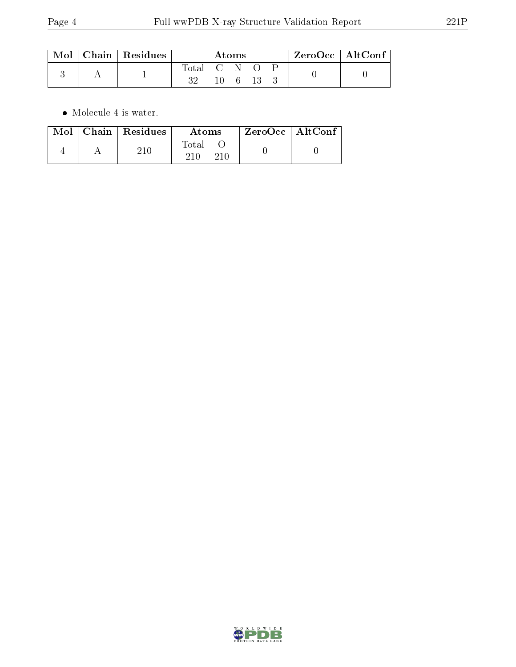|  | $\text{Mol}$   Chain   Residues | Atoms       |     |  |        | ZeroOcc   AltConf |  |  |
|--|---------------------------------|-------------|-----|--|--------|-------------------|--|--|
|  |                                 | Total C N O | 10- |  | - 13 - |                   |  |  |

 $\bullet\,$  Molecule 4 is water.

|  | $Mol$   Chain   Residues | Atoms | ZeroOcc   AltConf |  |
|--|--------------------------|-------|-------------------|--|
|  | 210                      | Total |                   |  |

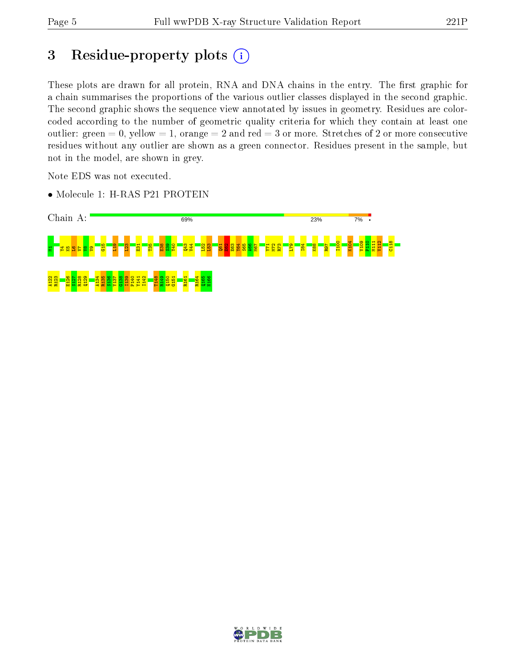# 3 Residue-property plots (i)

These plots are drawn for all protein, RNA and DNA chains in the entry. The first graphic for a chain summarises the proportions of the various outlier classes displayed in the second graphic. The second graphic shows the sequence view annotated by issues in geometry. Residues are colorcoded according to the number of geometric quality criteria for which they contain at least one outlier: green  $= 0$ , yellow  $= 1$ , orange  $= 2$  and red  $= 3$  or more. Stretches of 2 or more consecutive residues without any outlier are shown as a green connector. Residues present in the sample, but not in the model, are shown in grey.

Note EDS was not executed.

• Molecule 1: H-RAS P21 PROTEIN



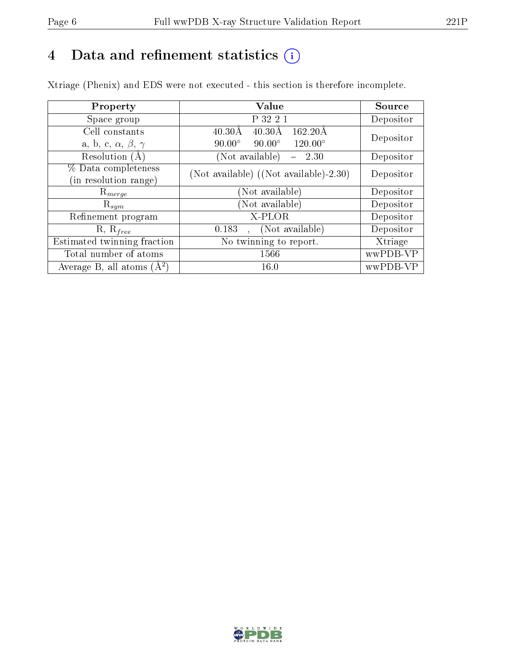# 4 Data and refinement statistics  $(i)$

Xtriage (Phenix) and EDS were not executed - this section is therefore incomplete.

| Property                               | Value                                                        | Source    |  |
|----------------------------------------|--------------------------------------------------------------|-----------|--|
| Space group                            | P 32 2 1                                                     | Depositor |  |
| Cell constants                         | $162.20\text{\AA}$<br>$40.30\text{\AA}$<br>$40.30\text{\AA}$ | Depositor |  |
| a, b, c, $\alpha$ , $\beta$ , $\gamma$ | $90.00^\circ$<br>$90.00^\circ$<br>$120.00^{\circ}$           |           |  |
| Resolution $(A)$                       | (Not available)<br>2.30                                      | Depositor |  |
| % Data completeness                    | (Not available) ((Not available)-2.30)                       | Depositor |  |
| (in resolution range)                  |                                                              |           |  |
| $\mathrm{R}_{merge}$                   | (Not available)                                              | Depositor |  |
| $\mathrm{R}_{sym}$                     | (Not available)                                              | Depositor |  |
| Refinement program                     | X-PLOR                                                       | Depositor |  |
| $R, R_{free}$                          | (Not available)<br>0.183<br>$\mathbf{A}$                     | Depositor |  |
| Estimated twinning fraction            | No twinning to report.                                       | Xtriage   |  |
| Total number of atoms                  | 1566                                                         | wwPDB-VP  |  |
| Average B, all atoms $(A^2)$           | 16.0                                                         | wwPDB-VP  |  |

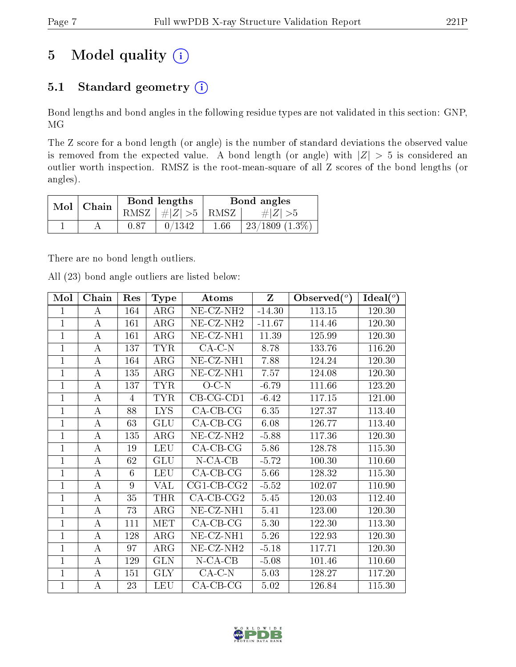# 5 Model quality  $(i)$

## 5.1 Standard geometry  $(i)$

Bond lengths and bond angles in the following residue types are not validated in this section: GNP, MG

The Z score for a bond length (or angle) is the number of standard deviations the observed value is removed from the expected value. A bond length (or angle) with  $|Z| > 5$  is considered an outlier worth inspection. RMSZ is the root-mean-square of all Z scores of the bond lengths (or angles).

| Mol | Chain |      | Bond lengths             | Bond angles |                     |  |
|-----|-------|------|--------------------------|-------------|---------------------|--|
|     |       |      | RMSZ $ #Z  > 5$ RMSZ $ $ |             | $\# Z  > 5$         |  |
|     |       | 0.87 | 0/1342                   | 1.66        | $23/1809$ $(1.3\%)$ |  |

There are no bond length outliers.

All (23) bond angle outliers are listed below:

| Mol          | Chain            | Res | <b>Type</b> | <b>Atoms</b>          | $\mathbf{Z}$ | Observed $(°)$ | Ideal $(^\circ)$ |
|--------------|------------------|-----|-------------|-----------------------|--------------|----------------|------------------|
| 1            | A                | 164 | $\rm{ARG}$  | NE-CZ-NH <sub>2</sub> | $-14.30$     | 113.15         | 120.30           |
| $\mathbf{1}$ | A                | 161 | $\rm{ARG}$  | NE-CZ-NH <sub>2</sub> | $-11.67$     | 114.46         | 120.30           |
| $\mathbf{1}$ | А                | 161 | $\rm{ARG}$  | NE-CZ-NH1             | 11.39        | 125.99         | 120.30           |
| $\mathbf{1}$ | А                | 137 | <b>TYR</b>  | $CA-C-N$              | 8.78         | 133.76         | 116.20           |
| 1            | А                | 164 | $\rm{ARG}$  | $NE- CZ-NH1$          | 7.88         | 124.24         | 120.30           |
| $\mathbf{1}$ | А                | 135 | $\rm{ARG}$  | NE-CZ-NH1             | 7.57         | 124.08         | 120.30           |
| $\mathbf{1}$ | А                | 137 | <b>TYR</b>  | $O-C-N$               | $-6.79$      | 111.66         | 123.20           |
| $\mathbf{1}$ | А                | 4   | <b>TYR</b>  | $CB-CG-CD1$           | $-6.42$      | 117.15         | 121.00           |
| $\mathbf{1}$ | А                | 88  | <b>LYS</b>  | $CA-CB-CG$            | 6.35         | 127.37         | 113.40           |
| $\mathbf{1}$ | А                | 63  | <b>GLU</b>  | $CA$ -CB-CG           | 6.08         | 126.77         | 113.40           |
| 1            | А                | 135 | ARG         | NE-CZ-NH <sub>2</sub> | $-5.88$      | 117.36         | 120.30           |
| $\mathbf{1}$ | А                | 19  | <b>LEU</b>  | $CA-CB-CG$            | 5.86         | 128.78         | 115.30           |
| $\mathbf{1}$ | А                | 62  | <b>GLU</b>  | $N$ -CA-CB            | $-5.72$      | 100.30         | 110.60           |
| $\mathbf{1}$ | А                | 6   | <b>LEU</b>  | $CA$ -CB-CG           | 5.66         | 128.32         | 115.30           |
| $\mathbf{1}$ | A                | 9   | <b>VAL</b>  | $CG1$ - $CB$ - $CG2$  | $-5.52$      | 102.07         | 110.90           |
| $\mathbf{1}$ | А                | 35  | <b>THR</b>  | $CA$ -CB-CG2          | 5.45         | 120.03         | 112.40           |
| $\mathbf{1}$ | $\bf{A}$         | 73  | $\rm{ARG}$  | NE-CZ-NH1             | 5.41         | 123.00         | 120.30           |
| $\mathbf{1}$ | А                | 111 | <b>MET</b>  | $CA-CB-CG$            | 5.30         | 122.30         | 113.30           |
| $\mathbf{1}$ | $\boldsymbol{A}$ | 128 | ARG         | NE-CZ-NH1             | 5.26         | 122.93         | 120.30           |
| $\mathbf 1$  | А                | 97  | $\rm{ARG}$  | $NE- CZ-NH2$          | $-5.18$      | 117.71         | 120.30           |
| $\mathbf{1}$ | А                | 129 | <b>GLN</b>  | $N$ -CA-CB            | $-5.08$      | 101.46         | 110.60           |
| $\mathbf 1$  | А                | 151 | <b>GLY</b>  | $CA-C-N$              | 5.03         | 128.27         | 117.20           |
| $\mathbf 1$  | А                | 23  | <b>LEU</b>  | $CA$ -CB-CG           | 5.02         | 126.84         | 115.30           |

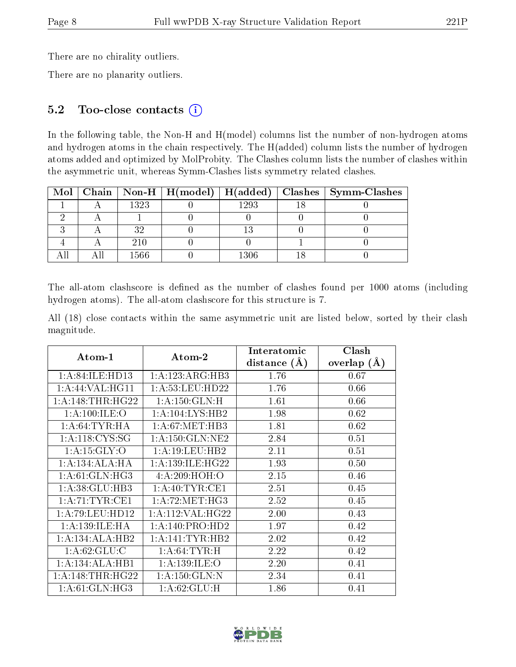There are no chirality outliers.

There are no planarity outliers.

### 5.2 Too-close contacts (i)

In the following table, the Non-H and H(model) columns list the number of non-hydrogen atoms and hydrogen atoms in the chain respectively. The H(added) column lists the number of hydrogen atoms added and optimized by MolProbity. The Clashes column lists the number of clashes within the asymmetric unit, whereas Symm-Clashes lists symmetry related clashes.

|  |       | Mol   Chain   Non-H   H(model)   H(added) |          | Clashes   Symm-Clashes |
|--|-------|-------------------------------------------|----------|------------------------|
|  | 1323  |                                           | 1293     |                        |
|  |       |                                           |          |                        |
|  | າ ດ   |                                           |          |                        |
|  | 210   |                                           |          |                        |
|  | 1566ء |                                           | $1306 -$ |                        |

The all-atom clashscore is defined as the number of clashes found per 1000 atoms (including hydrogen atoms). The all-atom clashscore for this structure is 7.

All (18) close contacts within the same asymmetric unit are listed below, sorted by their clash magnitude.

|                    |                      | Interatomic    | Clash         |
|--------------------|----------------------|----------------|---------------|
| Atom-1             | Atom-2               | distance $(A)$ | overlap $(A)$ |
| 1: A:84: ILE:HD13  | 1:A:123:ARG:HB3      | 1.76           | 0.67          |
| 1: A:44: VAL:HGI1  | 1: A:53:LEU:HD22     | 1.76           | 0.66          |
| 1: A:148:THR:HG22  | 1: A: 150: GLN: H    | 1.61           | 0.66          |
| 1: A:100: ILE: O   | 1:A:104:LYS:HB2      | 1.98           | 0.62          |
| 1: A:64:TYR:HA     | 1: A:67: MET:HB3     | 1.81           | 0.62          |
| 1: A:118: CYS:SG   | 1: A: 150: GLN: NE2  | 2.84           | 0.51          |
| 1: A:15: GLY:O     | 1: A: 19: LEU: HB2   | 2.11           | 0.51          |
| 1:A:134:ALA:HA     | 1: A: 139: ILE: HG22 | 1.93           | 0.50          |
| 1: A:61: GLN: HG3  | 4: A:209:HOH:O       | 2.15           | 0.46          |
| 1: A:38: GLU:HB3   | 1: A:40: TYR:CE1     | 2.51           | 0.45          |
| 1: A:71:TYR:CE1    | 1: A:72:MET:HG3      | 2.52           | 0.45          |
| 1: A:79: LEU: HD12 | 1:A:112:VAL:HG22     | 2.00           | 0.43          |
| 1: A: 139: ILE: HA | 1:A:140:PRO:HD2      | 1.97           | 0.42          |
| 1:A:134:ALA:HB2    | 1: A:141:TYR:HB2     | 2.02           | 0.42          |
| 1: A:62: GLU:C     | 1: A:64:TYR:H        | 2.22           | 0.42          |
| 1:A:134:ALA:HB1    | 1: A: 139: ILE: O    | 2.20           | 0.41          |
| 1: A:148:THR:HG22  | 1: A: 150: GLN:N     | 2.34           | 0.41          |
| 1: A:61: GLN: HG3  | 1: A:62: GLU:H       | 1.86           | 0.41          |

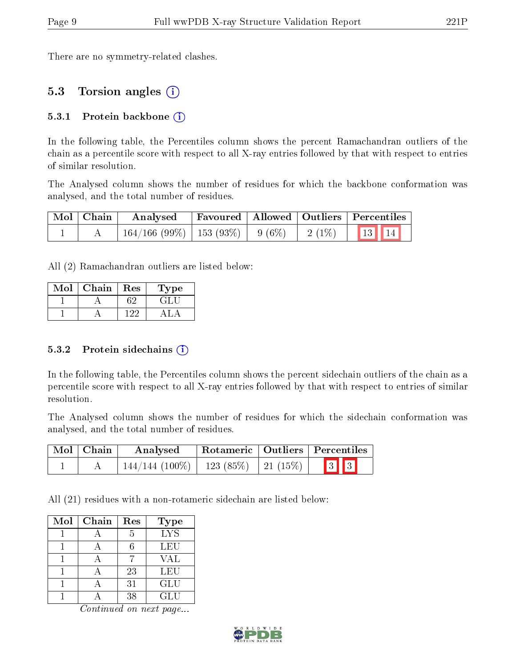There are no symmetry-related clashes.

### 5.3 Torsion angles (i)

#### 5.3.1 Protein backbone  $(i)$

In the following table, the Percentiles column shows the percent Ramachandran outliers of the chain as a percentile score with respect to all X-ray entries followed by that with respect to entries of similar resolution.

The Analysed column shows the number of residues for which the backbone conformation was analysed, and the total number of residues.

| Mol   Chain | Analysed                                |  | Favoured   Allowed   Outliers   Percentiles |
|-------------|-----------------------------------------|--|---------------------------------------------|
|             | $164/166$ (99\%)   153 (93\%)   9 (6\%) |  | $2(1\%)$ 13 14                              |

All (2) Ramachandran outliers are listed below:

| Mol | Chain | Res | l'ype  |
|-----|-------|-----|--------|
|     |       |     | E TELE |
|     |       |     |        |

#### 5.3.2 Protein sidechains  $(i)$

In the following table, the Percentiles column shows the percent sidechain outliers of the chain as a percentile score with respect to all X-ray entries followed by that with respect to entries of similar resolution.

The Analysed column shows the number of residues for which the sidechain conformation was analysed, and the total number of residues.

| Mol   Chain | Analysed                                   | Rotameric   Outliers   Percentiles |  |                         |  |  |
|-------------|--------------------------------------------|------------------------------------|--|-------------------------|--|--|
|             | $144/144$ (100\%)   123 (85\%)   21 (15\%) |                                    |  | $\boxed{3}$ $\boxed{3}$ |  |  |

All (21) residues with a non-rotameric sidechain are listed below:

| Mol | Chain | Res           | <b>Type</b> |
|-----|-------|---------------|-------------|
|     |       | $\frac{5}{2}$ | <b>LYS</b>  |
|     |       |               | LEU         |
|     |       |               | <b>VAL</b>  |
|     |       | 23            | LEU         |
|     |       | 31            | GLU         |
|     |       | 38            | GLU         |

Continued on next page...

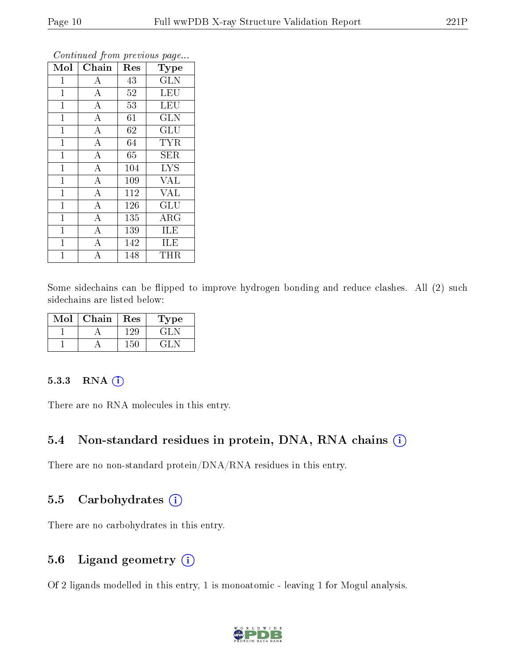| $\overline{\text{Mol}}$ | Chain              |        |                         |
|-------------------------|--------------------|--------|-------------------------|
|                         |                    | Res    | Type                    |
| 1                       | А                  | 43     | <b>GLN</b>              |
| $\mathbf{1}$            | $\overline{A}$     | $52\,$ | $\overline{\text{LEU}}$ |
| $\mathbf 1$             | $\overline{A}$     | 53     | <b>LEU</b>              |
| $\mathbf{1}$            | $\bf{A}$           | 61     | <b>GLN</b>              |
| $\mathbf{1}$            | $\overline{\rm A}$ | 62     | GLU                     |
| $\mathbf{1}$            | $\bf{A}$           | 64     | <b>TYR</b>              |
| $\mathbf{1}$            | $\bf{A}$           | 65     | SER                     |
| $\mathbf{1}$            | $\overline{A}$     | 104    | <b>LYS</b>              |
| $\mathbf{1}$            | $\bf{A}$           | 109    | <b>VAL</b>              |
| $\mathbf{1}$            | $\overline{\rm A}$ | 112    | <b>VAL</b>              |
| $\mathbf{1}$            | $\overline{\rm A}$ | 126    | GLU                     |
| $\mathbf 1$             | $\overline{\rm A}$ | 135    | $\rm{ARG}$              |
| $\mathbf{1}$            | $\overline{\rm A}$ | 139    | ILE                     |
| $\mathbf{1}$            | $\overline{\rm A}$ | 142    | ILE                     |
| 1                       | A                  | 148    | THR                     |

Continued from previous page...

Some sidechains can be flipped to improve hydrogen bonding and reduce clashes. All (2) such sidechains are listed below:

| Mol | Chain | $\operatorname{Res}$ | Type    |
|-----|-------|----------------------|---------|
|     |       | -29.                 | ت الزام |
|     |       | 51.                  | - 11 -  |

#### 5.3.3 RNA (1)

There are no RNA molecules in this entry.

#### 5.4 Non-standard residues in protein, DNA, RNA chains (i)

There are no non-standard protein/DNA/RNA residues in this entry.

#### 5.5 Carbohydrates (i)

There are no carbohydrates in this entry.

### 5.6 Ligand geometry (i)

Of 2 ligands modelled in this entry, 1 is monoatomic - leaving 1 for Mogul analysis.

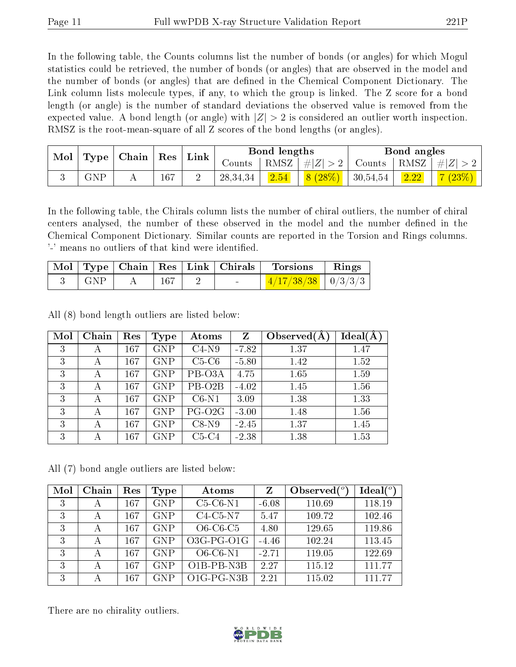In the following table, the Counts columns list the number of bonds (or angles) for which Mogul statistics could be retrieved, the number of bonds (or angles) that are observed in the model and the number of bonds (or angles) that are dened in the Chemical Component Dictionary. The Link column lists molecule types, if any, to which the group is linked. The Z score for a bond length (or angle) is the number of standard deviations the observed value is removed from the expected value. A bond length (or angle) with  $|Z| > 2$  is considered an outlier worth inspection. RMSZ is the root-mean-square of all Z scores of the bond lengths (or angles).

|  | Mol<br>Type |  | Link<br>$\mid$ Chain $\mid$<br>$\overline{\phantom{a}}$ Res |         |          | Bond lengths |               | Bond angles  |         |          |
|--|-------------|--|-------------------------------------------------------------|---------|----------|--------------|---------------|--------------|---------|----------|
|  |             |  |                                                             | Counts- | RMSZ     | # $ Z  > 2$  | $\rm{Counts}$ | $+$ RMSZ $+$ | $\ H\ $ |          |
|  | ${\rm GNP}$ |  | 167                                                         |         | 28,34,34 | 2.54         | 8(28%)        | 30,54,54     | 2.22    | $(23\%)$ |

In the following table, the Chirals column lists the number of chiral outliers, the number of chiral centers analysed, the number of these observed in the model and the number defined in the Chemical Component Dictionary. Similar counts are reported in the Torsion and Rings columns. '-' means no outliers of that kind were identified.

|     |     |  | $\vert$ Mol $\vert$ Type $\vert$ Chain $\vert$ Res $\vert$ Link $\vert$ Chirals $\vert$ Torsions | $\vert$ Rings |
|-----|-----|--|--------------------------------------------------------------------------------------------------|---------------|
| GNP | 167 |  | $\frac{1}{4}$ $\frac{4}{17}$ $\frac{738}{38}$ $\frac{1}{8}$ 0 $\frac{3}{32}$ 1                   |               |

All (8) bond length outliers are listed below:

| Mol | Chain | Res | Type       | Atoms               | Z       | Observed $(A)$ | $Ideal(\AA)$ |
|-----|-------|-----|------------|---------------------|---------|----------------|--------------|
| 3   | А     | 167 | <b>GNP</b> | $C4-N9$             | $-7.82$ | 1.37           | 1.47         |
| 3   | А     | 167 | <b>GNP</b> | $C5-C6$             | $-5.80$ | 1.42           | 1.52         |
| 3   | А     | 167 | <b>GNP</b> | PB-O3A              | 4.75    | 1.65           | 1.59         |
| 3   | А     | 167 | <b>GNP</b> | PB-O <sub>2</sub> B | $-4.02$ | 1.45           | 1.56         |
| 3   | А     | 167 | <b>GNP</b> | $C6-N1$             | 3.09    | 1.38           | 1.33         |
| 3   | А     | 167 | <b>GNP</b> | $PG-O2G$            | $-3.00$ | 1.48           | 1.56         |
| 3   | А     | 167 | <b>GNP</b> | $C8-N9$             | $-2.45$ | 1.37           | 1.45         |
| 3   | А     | 167 | <b>GNP</b> | $C5-C4$             | $-2.38$ | 1.38           | 1.53         |

All (7) bond angle outliers are listed below:

| Mol | Chain | Res | Type       | Atoms                                | Z       | Observed $(°)$ | $Ideal(^o)$ |
|-----|-------|-----|------------|--------------------------------------|---------|----------------|-------------|
| 3   | А     | 167 | <b>GNP</b> | $C5-C6-N1$                           | $-6.08$ | 110.69         | 118.19      |
| 3   | А     | 167 | <b>GNP</b> | $C4-C5-N7$                           | 5.47    | 109.72         | 102.46      |
| 3   | А     | 167 | <b>GNP</b> | $O6-C6-C5$                           | 4.80    | 129.65         | 119.86      |
| 3   | А     | 167 | <b>GNP</b> | $O3G-PG-O1G$                         | $-4.46$ | 102.24         | 113.45      |
| 3   | А     | 167 | <b>GNP</b> | $O6$ - $C6$ - $N1$                   | $-2.71$ | 119.05         | 122.69      |
| 3   | А     | 167 | <b>GNP</b> | O <sub>1</sub> B-PB-N <sub>3</sub> B | 2.27    | 115.12         | 111.77      |
| 3   |       | 167 | GNP        | $O1G$ -PG-N3B                        | 2.21    | 115.02         | 111.77      |

There are no chirality outliers.

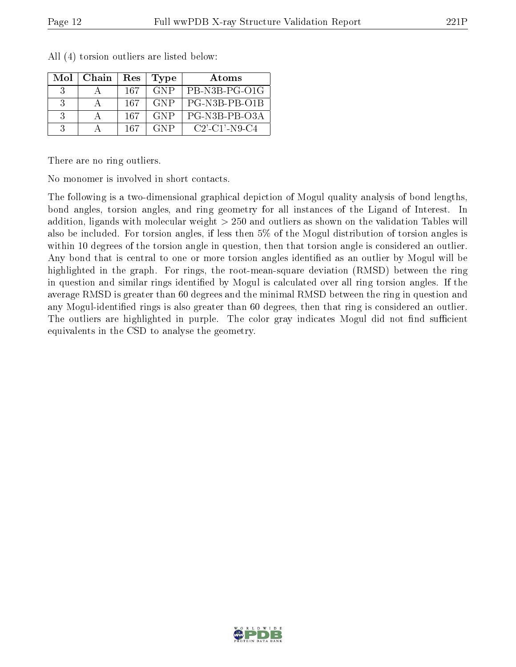| Mol           | Chain | Res | Type       | Atoms                                           |
|---------------|-------|-----|------------|-------------------------------------------------|
| -3            |       | 167 | <b>GNP</b> | PB-N3B-PG-O1G                                   |
| $\mathcal{R}$ |       | 167 | <b>GNP</b> | PG-N3B-PB-O1B                                   |
| $\mathcal{R}$ |       | 167 | <b>GNP</b> | PG-N3B-PB-03A                                   |
|               |       | 167 | <b>GNP</b> | $C2$ <sup>-</sup> $C1$ <sup>-</sup> $N9$ - $C4$ |

All (4) torsion outliers are listed below:

There are no ring outliers.

No monomer is involved in short contacts.

The following is a two-dimensional graphical depiction of Mogul quality analysis of bond lengths, bond angles, torsion angles, and ring geometry for all instances of the Ligand of Interest. In addition, ligands with molecular weight > 250 and outliers as shown on the validation Tables will also be included. For torsion angles, if less then 5% of the Mogul distribution of torsion angles is within 10 degrees of the torsion angle in question, then that torsion angle is considered an outlier. Any bond that is central to one or more torsion angles identified as an outlier by Mogul will be highlighted in the graph. For rings, the root-mean-square deviation (RMSD) between the ring in question and similar rings identified by Mogul is calculated over all ring torsion angles. If the average RMSD is greater than 60 degrees and the minimal RMSD between the ring in question and any Mogul-identified rings is also greater than 60 degrees, then that ring is considered an outlier. The outliers are highlighted in purple. The color gray indicates Mogul did not find sufficient equivalents in the CSD to analyse the geometry.

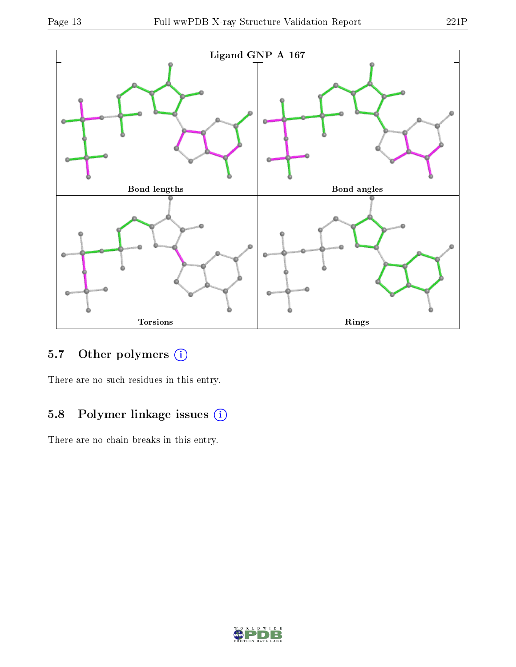

# 5.7 [O](https://www.wwpdb.org/validation/2017/XrayValidationReportHelp#nonstandard_residues_and_ligands)ther polymers (i)

There are no such residues in this entry.

# 5.8 Polymer linkage issues (i)

There are no chain breaks in this entry.